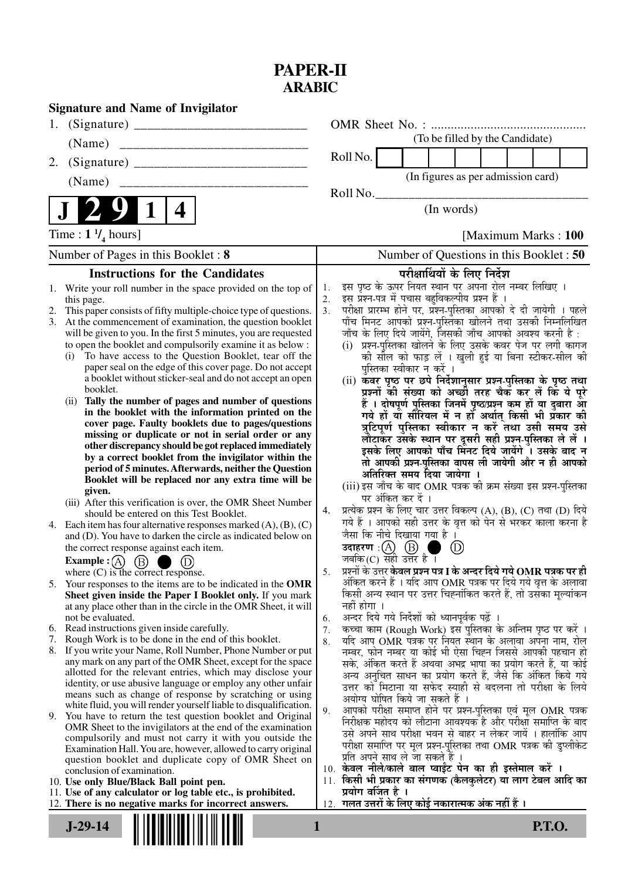## **PAPER-II ARABIC**

|                                    | <b>Signature and Name of Invigilator</b>                                                                                     |                      |                                                                           |                   |                                                                                                                                               |              |  |  |  |  |  |
|------------------------------------|------------------------------------------------------------------------------------------------------------------------------|----------------------|---------------------------------------------------------------------------|-------------------|-----------------------------------------------------------------------------------------------------------------------------------------------|--------------|--|--|--|--|--|
| 1.                                 |                                                                                                                              |                      |                                                                           |                   |                                                                                                                                               |              |  |  |  |  |  |
|                                    | (Name)                                                                                                                       |                      |                                                                           |                   | (To be filled by the Candidate)                                                                                                               |              |  |  |  |  |  |
| 2.                                 |                                                                                                                              |                      | Roll No.                                                                  |                   |                                                                                                                                               |              |  |  |  |  |  |
|                                    | (Name)                                                                                                                       |                      |                                                                           |                   | (In figures as per admission card)                                                                                                            |              |  |  |  |  |  |
|                                    |                                                                                                                              |                      | Roll No.                                                                  |                   |                                                                                                                                               |              |  |  |  |  |  |
|                                    | 4                                                                                                                            |                      | (In words)                                                                |                   |                                                                                                                                               |              |  |  |  |  |  |
|                                    | Time : $1 \frac{1}{4}$ hours]                                                                                                | [Maximum Marks: 100] |                                                                           |                   |                                                                                                                                               |              |  |  |  |  |  |
| Number of Pages in this Booklet: 8 |                                                                                                                              |                      | Number of Questions in this Booklet: 50                                   |                   |                                                                                                                                               |              |  |  |  |  |  |
|                                    | <b>Instructions for the Candidates</b>                                                                                       |                      |                                                                           |                   | परीक्षार्थियों के लिए निर्देश                                                                                                                 |              |  |  |  |  |  |
|                                    | 1. Write your roll number in the space provided on the top of                                                                | 1.                   |                                                                           |                   | इस पृष्ठ के ऊपर नियत स्थान पर अपना रोल नम्बर लिखिए ।                                                                                          |              |  |  |  |  |  |
|                                    | this page.                                                                                                                   | 2.                   |                                                                           |                   | इस प्रश्न-पत्र में पचास बहुविकल्पीय प्रश्न हैं ।                                                                                              |              |  |  |  |  |  |
| 3.                                 | This paper consists of fifty multiple-choice type of questions.<br>At the commencement of examination, the question booklet  | 3.                   |                                                                           |                   | परीक्षा प्रारम्भ होने पर, प्रश्न-पुस्तिका आपको दे दी जायेगी । पहले<br>पाँच मिनट आपको प्रश्न-पुस्तिका खोलने तथा उसकी निम्नलिखित                |              |  |  |  |  |  |
|                                    | will be given to you. In the first 5 minutes, you are requested                                                              |                      |                                                                           |                   | जाँच के लिए दिये जायेंगे, जिसकी जाँच आपको अवश्य करनी है :                                                                                     |              |  |  |  |  |  |
|                                    | to open the booklet and compulsorily examine it as below :                                                                   |                      |                                                                           |                   | (i) प्रश्न-पुस्तिका खोलने के लिए उसके कवर पेज पर लगी कागज                                                                                     |              |  |  |  |  |  |
|                                    | To have access to the Question Booklet, tear off the<br>(i)                                                                  |                      |                                                                           |                   | की सील को फाड़ लें । खुली हुई या बिना स्टीकर-सील की                                                                                           |              |  |  |  |  |  |
|                                    | paper seal on the edge of this cover page. Do not accept                                                                     |                      |                                                                           |                   | पुस्तिका स्वीकार न करें ।                                                                                                                     |              |  |  |  |  |  |
|                                    | a booklet without sticker-seal and do not accept an open<br>booklet.                                                         |                      |                                                                           |                   | (ii) कवर पृष्ठ पर छपे निर्देशानुसार प्रश्न-पुस्तिका के पृष्ठ तथा                                                                              |              |  |  |  |  |  |
|                                    | Tally the number of pages and number of questions<br>(ii)                                                                    |                      |                                                                           |                   | प्रश्नों की संख्या को अच्छी तरह चैक कर लें कि ये पूरे<br>हैं । दोषपूर्ण पुस्तिका जिनमें पृष्ठ/प्रश्न कम हों या दुबारा आ                       |              |  |  |  |  |  |
|                                    | in the booklet with the information printed on the                                                                           |                      |                                                                           |                   | गये हों या सौरियल में न हों अर्थात् किसी भी प्रॅकार की                                                                                        |              |  |  |  |  |  |
|                                    | cover page. Faulty booklets due to pages/questions                                                                           |                      |                                                                           |                   | त्रुटिपूर्ण पुस्तिका स्वीकार न करें तथा उसी समय उसे                                                                                           |              |  |  |  |  |  |
|                                    | missing or duplicate or not in serial order or any                                                                           |                      |                                                                           |                   | लौटाकर उसके स्थान पर दूसरी सही प्रश्न-पुस्तिका ले लें ।                                                                                       |              |  |  |  |  |  |
|                                    | other discrepancy should be got replaced immediately<br>by a correct booklet from the invigilator within the                 |                      |                                                                           |                   | इसके लिए आपको पाँच मिंनट दिये जायेंगे ँ। उसके बाद न                                                                                           |              |  |  |  |  |  |
|                                    | period of 5 minutes. Afterwards, neither the Question                                                                        |                      |                                                                           |                   | तो आपकी प्रश्न-पुस्तिका वापस ली जायेगी और न ही आपको                                                                                           |              |  |  |  |  |  |
|                                    | Booklet will be replaced nor any extra time will be                                                                          |                      |                                                                           |                   | अतिरिक्त समय दिया जायेगा ।<br>(iii) इस जाँच के बाद OMR पत्रक की क्रम संख्या इस प्रश्न-पुस्तिका                                                |              |  |  |  |  |  |
|                                    | given.                                                                                                                       |                      |                                                                           | पर अंकित कर दें । |                                                                                                                                               |              |  |  |  |  |  |
|                                    | (iii) After this verification is over, the OMR Sheet Number<br>should be entered on this Test Booklet.                       | 4.                   |                                                                           |                   | प्रत्येक प्रश्न के लिए चार उत्तर विकल्प (A), (B), (C) तथा (D) दिये                                                                            |              |  |  |  |  |  |
|                                    | 4. Each item has four alternative responses marked $(A)$ , $(B)$ , $(C)$                                                     |                      |                                                                           |                   | गये हैं । आपको सही उत्तर के वृत्त को पेन से भरकर काला करना है                                                                                 |              |  |  |  |  |  |
|                                    | and (D). You have to darken the circle as indicated below on                                                                 |                      |                                                                           |                   | जैसा कि नीचे दिखाया गया है ।                                                                                                                  |              |  |  |  |  |  |
|                                    | the correct response against each item.                                                                                      |                      | उदाहरण: $(A)$ $(B)$                                                       |                   |                                                                                                                                               | $_{\rm (D)}$ |  |  |  |  |  |
|                                    | Example : $(A)$<br>(B)                                                                                                       |                      | जबकि(C) सही उत्तर है।                                                     |                   |                                                                                                                                               |              |  |  |  |  |  |
|                                    | where $(C)$ is the correct response.                                                                                         | 5.                   |                                                                           |                   | प्रश्नों के उत्तर <b>केवल प्रश्न पत्र I के अन्दर दिये गये OMR पत्रक पर ही</b><br>अंकित करने हैं । यदि आप OMR पत्रक पर दिये गये वृत्त के अलावा |              |  |  |  |  |  |
|                                    | 5. Your responses to the items are to be indicated in the OMR<br>Sheet given inside the Paper I Booklet only. If you mark    |                      |                                                                           |                   | किसी अन्य स्थान पर उत्तर चिह्नांकित करते हैं, तो उसका मूल्यांकन                                                                               |              |  |  |  |  |  |
|                                    | at any place other than in the circle in the OMR Sheet, it will                                                              |                      | नहीं होगा ।                                                               |                   |                                                                                                                                               |              |  |  |  |  |  |
|                                    | not be evaluated.                                                                                                            | 6.                   |                                                                           |                   | अन्दर दिये गये निर्देशों को ध्यानपूर्वकू पढ़ें ।                                                                                              |              |  |  |  |  |  |
|                                    | 6. Read instructions given inside carefully.                                                                                 | 7.                   |                                                                           |                   | कच्चा काम (Rough Work) इस पुस्तिका के अन्तिम पृष्ठ पर करें ।                                                                                  |              |  |  |  |  |  |
| 7.                                 | Rough Work is to be done in the end of this booklet.<br>8. If you write your Name, Roll Number, Phone Number or put          | 8.                   |                                                                           |                   | यदि आप OMR पत्रक पर नियत स्थान के अलावा अपना नाम, रोल                                                                                         |              |  |  |  |  |  |
|                                    | any mark on any part of the OMR Sheet, except for the space                                                                  |                      |                                                                           |                   | नम्बर, फोन नम्बर या कोई भी ऐसा चिह्न जिससे आपकी पहचान हो<br>सके, अंकित करते हैं अथवा अभद्र भाषा का प्रयोग करते हैं, या कोई                    |              |  |  |  |  |  |
|                                    | allotted for the relevant entries, which may disclose your                                                                   |                      |                                                                           |                   | अन्य अनुचित साधन का प्रयोग करते हैं, जैसे कि अंकित किये गये                                                                                   |              |  |  |  |  |  |
|                                    | identity, or use abusive language or employ any other unfair                                                                 |                      |                                                                           |                   | उत्तर को मिटाना या सफेद स्याही से बदलना तो परीक्षा के लिये                                                                                    |              |  |  |  |  |  |
|                                    | means such as change of response by scratching or using<br>white fluid, you will render yourself liable to disqualification. |                      |                                                                           |                   | अयोग्य घोषित किये जा सकते हैं ।                                                                                                               |              |  |  |  |  |  |
| 9.                                 | You have to return the test question booklet and Original                                                                    | 9.                   |                                                                           |                   | आपको परीक्षा समाप्त होने पर प्रश्न-पुस्तिका एवं मूल OMR पत्रक                                                                                 |              |  |  |  |  |  |
|                                    | OMR Sheet to the invigilators at the end of the examination                                                                  |                      |                                                                           |                   | निरीक्षक महोदय को लौटाना आवश्यक है और परीक्षा समाप्ति के बाद<br>उसे अपने साथ परीक्षा भवन से बाहर न लेकर जायें । हालांकि आप                    |              |  |  |  |  |  |
|                                    | compulsorily and must not carry it with you outside the                                                                      |                      |                                                                           |                   | परीक्षा समाप्ति पर मूल प्रश्न-पुस्तिका तथा OMR पत्रक की डुप्लीकेट                                                                             |              |  |  |  |  |  |
|                                    | Examination Hall. You are, however, allowed to carry original<br>question booklet and duplicate copy of OMR Sheet on         |                      |                                                                           |                   | प्रति अपने साथ ले जा सकते हैं ।                                                                                                               |              |  |  |  |  |  |
|                                    | conclusion of examination.                                                                                                   |                      | 10. केवल नीले/काले बाल प्वाईंट पेन का ही इस्तेमाल करें ।                  |                   |                                                                                                                                               |              |  |  |  |  |  |
|                                    | 10. Use only Blue/Black Ball point pen.                                                                                      |                      | 11. किसी भी प्रकार का संगणक (कैलकुलेटर) या लाग टेबल आदि का                |                   |                                                                                                                                               |              |  |  |  |  |  |
|                                    | 11. Use of any calculator or log table etc., is prohibited.<br>12. There is no negative marks for incorrect answers.         |                      | प्रयोग वर्जित है ।<br>12. गलत उत्तरों के लिए कोई नकारात्मक अंक नहीं हैं । |                   |                                                                                                                                               |              |  |  |  |  |  |
|                                    |                                                                                                                              |                      |                                                                           |                   |                                                                                                                                               |              |  |  |  |  |  |
| $J-29-14$<br><b>P.T.O.</b><br>1    |                                                                                                                              |                      |                                                                           |                   |                                                                                                                                               |              |  |  |  |  |  |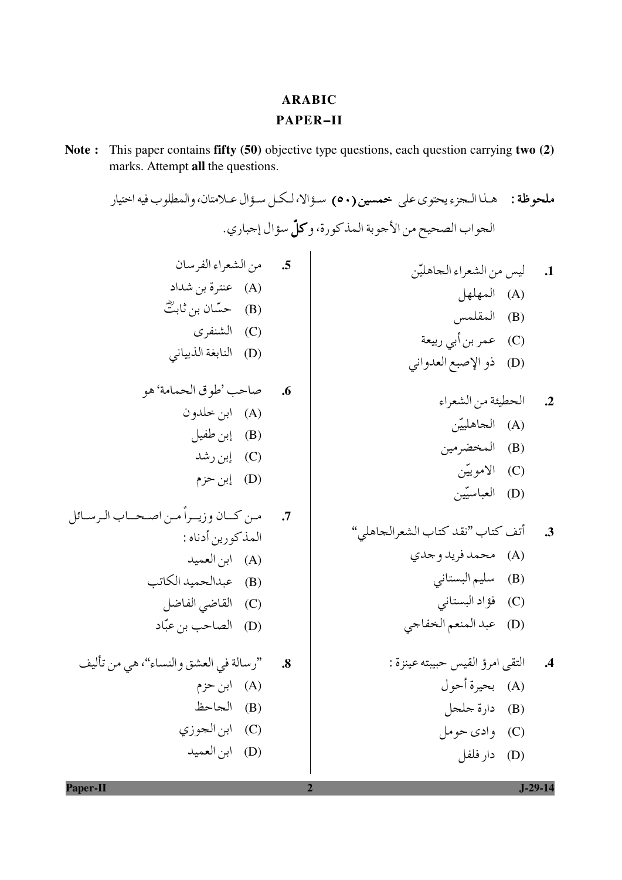## **ARABIC PAPER-II**

Note: This paper contains fifty (50) objective type questions, each question carrying two (2) marks. Attempt all the questions.

ملحوظة : هـذا الـجزء يحتوي على خعمسين (٥٠) سـؤ الا، لـكـل سـؤال عـلامتان، والمطلوب فيه اختيار الحواب الصحيح من الأجوبة المذكورة، وكلِّ سؤال إجباري. 5. من الشعراء الفرسان ليس من الشعراء الجاهليّن  $\overline{.1}$ (A) عنترة بن شداد (A) المهلهل (B) حسّان بن ثابتٌ (B) المقلمس (C) الشنفري (C) عمر بن أبي ربيعة (D) النابغة الذبياني (D) ذو الإصبع العدواني صاحب 'طوق الحمامة' هو  $\overline{\phantom{a}}$ .6 الحطيئة من الشعراء  $\cdot$ .2 (A) ابن خلدون (A) الجاهلييّن (B) إبن طفيل (B) المخضرمين (C) إين رشد (C) الاموييّن (D) إبن حزم (D) العباسيّين مـن كــان وزيــراً مـن اصـحــاب الـرسـائل  $\overline{\mathcal{A}}$ أتف كتاب "نقد كتاب الشعرالجاهلي"  $\cdot$ 3 العذكورين أدناه : (A) محمد فريد و جدي (A) ابن العميد (B) سليم البستاني (B) عبدالحميد الكاتب (C) القاضي الفاضل (C) فؤاد البستاني (D) عبد المنعم الخفاجي (D) الصاحب بن عبّاد "رسالة في العشق والنساء"، هي من تأليف 4. التقى امرؤ القيس حبيبته عينزة :  $\overline{\mathbf{.8}}$ (A) بحيرة أحول  $\left( A\right)$   $\left( H\right)$   $\left( A\right)$ (B) الجاحظ (B) دارة جلجل (C) ابن الجوزي (C) وادي حومل (D) ابن العميد (D) دار فلفل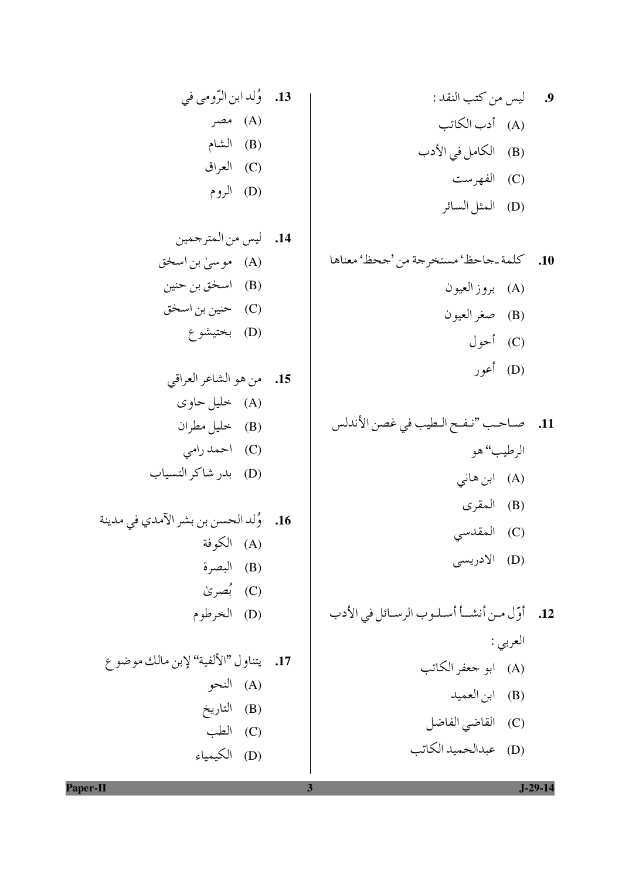9. ليس من كتب النقد : (A) أدب الكاتب (B) الكامل في الأدب ر بالفهرست<br>(C) الفهرست -<br>(D) المثل السائر

(D) عبدالحميد الكاتب

13 
$$
\rho
$$
 (A)  
\n(A)  $\rho$   
\n(A)  $\rho$   
\n(B) |  
\n(C) |  
\n(D) |  
\n(E)  $\rho$   
\n(D)  $\rho$   
\n(D)  $\rho$   
\n(D)  $\rho$   
\n(A)  $\rho$   
\n(A)

 $\overline{\mathbf{3}}$ 

Paper-II

 $J-29-14$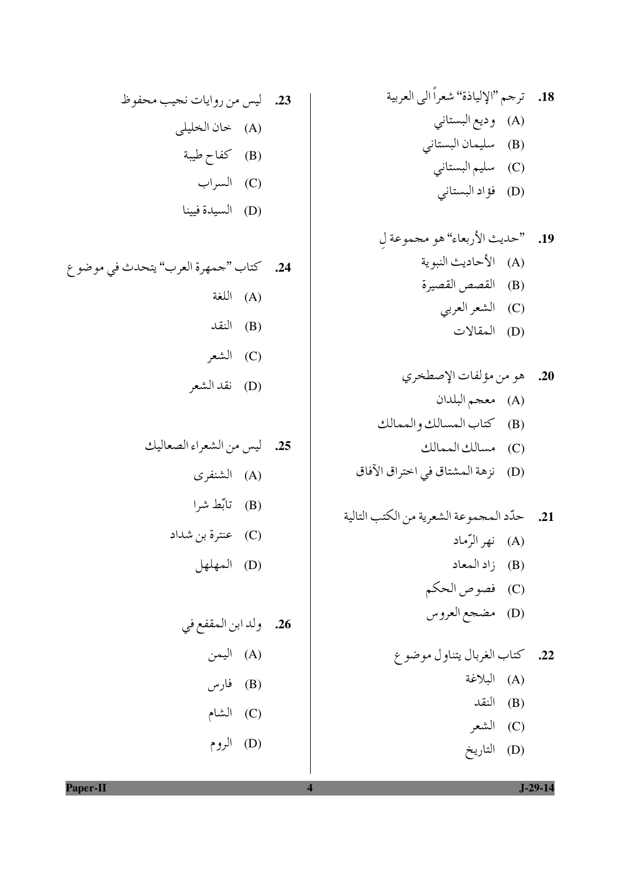(D) التاريخ

الروم
$$
(D) \quad \mathsf{L}(e, \mathsf{L})
$$

 $\overline{\mathbf{4}}$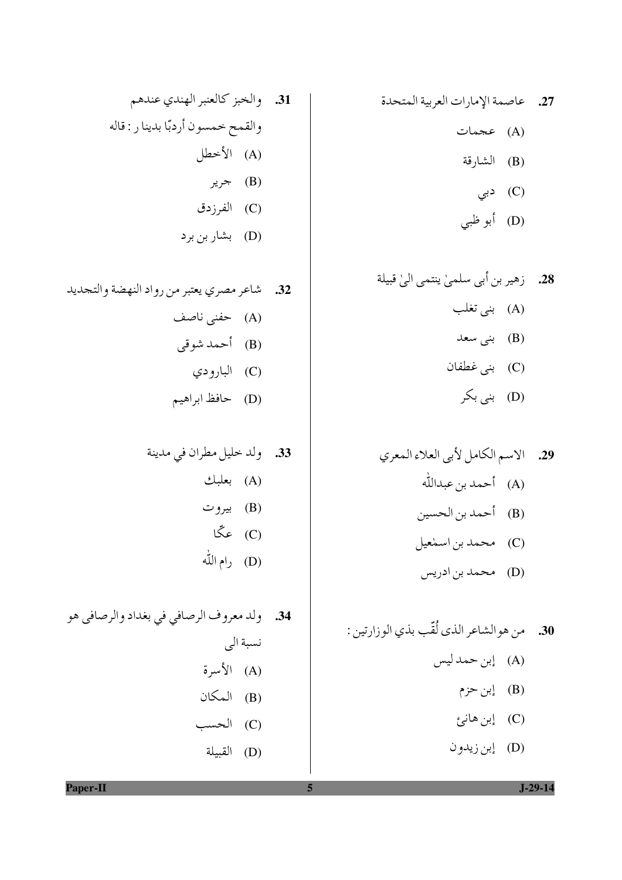27. عاصمة الإمارات العربية المتحدة (A) عجمات

- (B) الشارقة
	- دبی  $(C)$
- (D) أبو ظبي
- 28. زهير بن أبي سلميٰ ينتمي اليٰ قبيلة (A) بني تغلب (B) بنی سعد (C) بني غطفان (D) بنی بکر
- 29. الاسم الكامل لأبي العلاء المعري (A) أحمد بن عبدالله (B) أحمد بن الحسين (C) محمد بن اسمٰعیل (D) محمد بن ادريس
- 30. من هوالشاعر الذي لُقّب بذي الوزارتين : (A) إبن حمد ليس (B) إبن حزم (C) إبن هانئ
	- (D) إبن زيدون
- 31. والخبز كالعنبر الهندي عندهم والقمح خمسون أردبّا بدينا ر : قاله (A) الأخطل  $\mathcal{A}$  جرير (B) (C) الفرزدق
	- (D) بشار بن بر د
- 32. شاعر مصري يعتبر من رواد النهضة والتجديد (A) حفنی ناصف (B) أحمد شوقى (C) البارو دي (D) حافظ ابراهيم

 $J-29-14$ 

Paper-II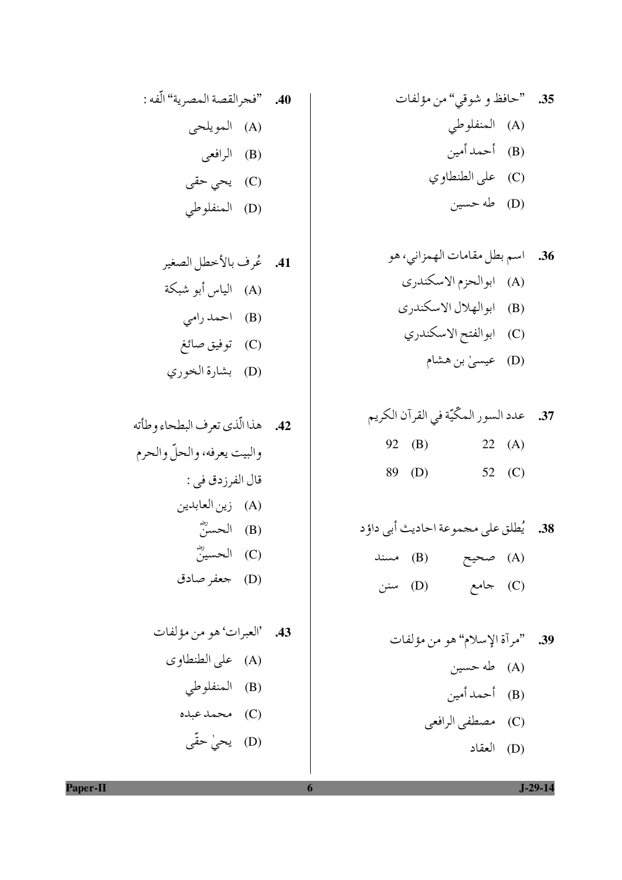40.

\n"غجرالقصة المصرية" الّفه :

\n(A)

\nالرويلحى

\n(B)

\nا
$$
\downarrow
$$
 (d)

\n11.  $\downarrow$  (e)

\n22.  $\downarrow$  (f)

\n33.  $\downarrow$  (g)

\n44.  $\downarrow$  (h)

\n55.  $\downarrow$  (i)

\n66.  $\downarrow$  (j)

\n77.  $\downarrow$  (k)

\n88.  $\downarrow$  (l)

\n99.  $\downarrow$  (m)

 $\boldsymbol{6}$ 

Paper-II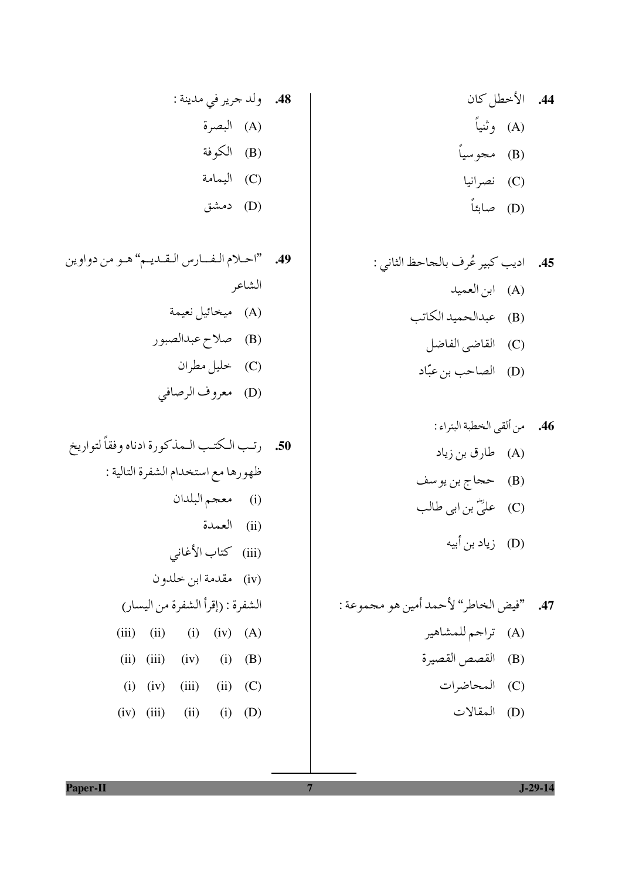$\overline{7}$ 

دمن
$$
(D) \quad \text{and} \quad
$$

 $J-29-14$ 

Paper-II